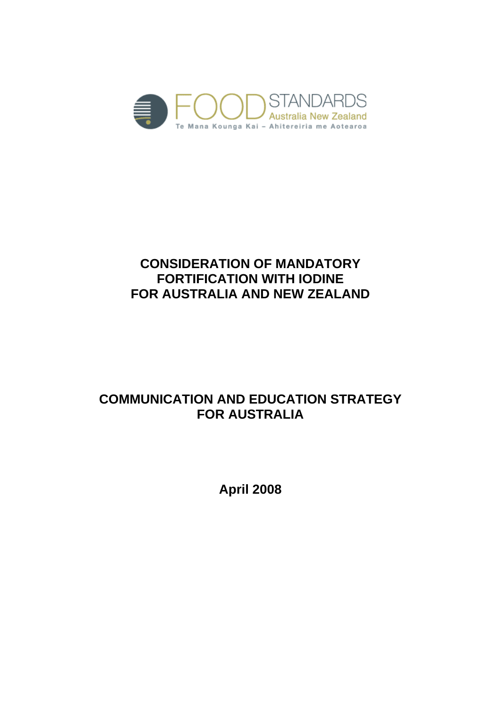

# **CONSIDERATION OF MANDATORY FORTIFICATION WITH IODINE FOR AUSTRALIA AND NEW ZEALAND**

# **COMMUNICATION AND EDUCATION STRATEGY FOR AUSTRALIA**

**April 2008**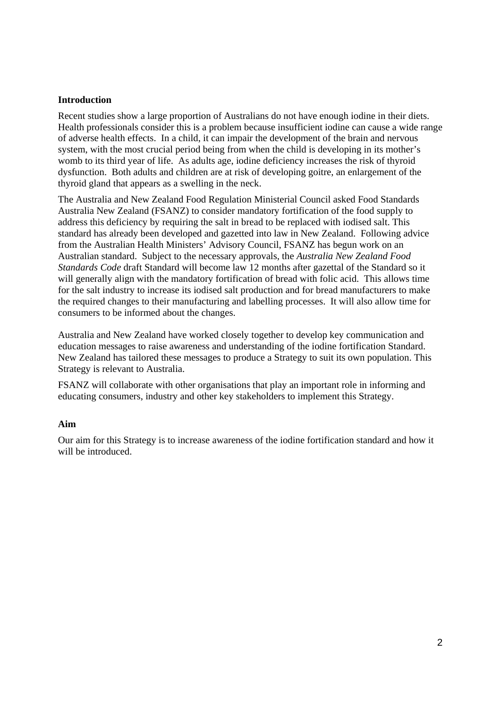#### **Introduction**

Recent studies show a large proportion of Australians do not have enough iodine in their diets. Health professionals consider this is a problem because insufficient iodine can cause a wide range of adverse health effects. In a child, it can impair the development of the brain and nervous system, with the most crucial period being from when the child is developing in its mother's womb to its third year of life. As adults age, iodine deficiency increases the risk of thyroid dysfunction. Both adults and children are at risk of developing goitre, an enlargement of the thyroid gland that appears as a swelling in the neck.

The Australia and New Zealand Food Regulation Ministerial Council asked Food Standards Australia New Zealand (FSANZ) to consider mandatory fortification of the food supply to address this deficiency by requiring the salt in bread to be replaced with iodised salt. This standard has already been developed and gazetted into law in New Zealand. Following advice from the Australian Health Ministers' Advisory Council, FSANZ has begun work on an Australian standard. Subject to the necessary approvals, the *Australia New Zealand Food Standards Code* draft Standard will become law 12 months after gazettal of the Standard so it will generally align with the mandatory fortification of bread with folic acid. This allows time for the salt industry to increase its iodised salt production and for bread manufacturers to make the required changes to their manufacturing and labelling processes. It will also allow time for consumers to be informed about the changes.

Australia and New Zealand have worked closely together to develop key communication and education messages to raise awareness and understanding of the iodine fortification Standard. New Zealand has tailored these messages to produce a Strategy to suit its own population. This Strategy is relevant to Australia.

FSANZ will collaborate with other organisations that play an important role in informing and educating consumers, industry and other key stakeholders to implement this Strategy.

#### **Aim**

Our aim for this Strategy is to increase awareness of the iodine fortification standard and how it will be introduced.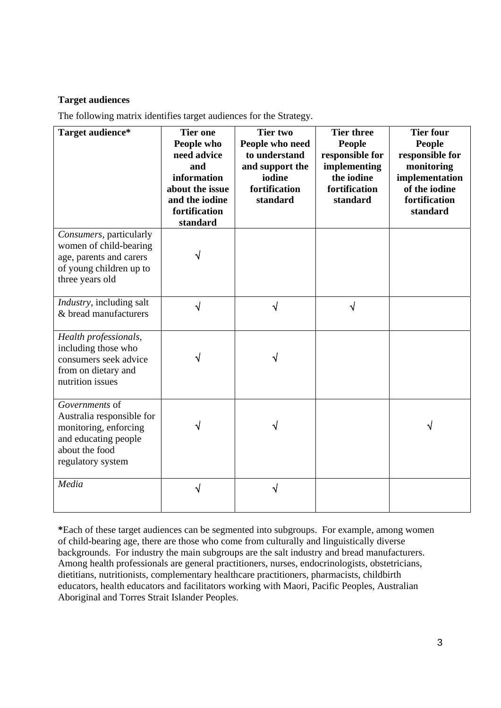## **Target audiences**

The following matrix identifies target audiences for the Strategy.

| Target audience*                                                                                                                    | <b>Tier one</b><br>People who<br>need advice<br>and<br>information<br>about the issue<br>and the iodine<br>fortification<br>standard | <b>Tier two</b><br>People who need<br>to understand<br>and support the<br>iodine<br>fortification<br>standard | <b>Tier three</b><br>People<br>responsible for<br>implementing<br>the iodine<br>fortification<br>standard | <b>Tier four</b><br><b>People</b><br>responsible for<br>monitoring<br>implementation<br>of the iodine<br>fortification<br>standard |
|-------------------------------------------------------------------------------------------------------------------------------------|--------------------------------------------------------------------------------------------------------------------------------------|---------------------------------------------------------------------------------------------------------------|-----------------------------------------------------------------------------------------------------------|------------------------------------------------------------------------------------------------------------------------------------|
| Consumers, particularly<br>women of child-bearing<br>age, parents and carers<br>of young children up to<br>three years old          |                                                                                                                                      |                                                                                                               |                                                                                                           |                                                                                                                                    |
| <i>Industry</i> , including salt<br>& bread manufacturers                                                                           | √                                                                                                                                    | √                                                                                                             | √                                                                                                         |                                                                                                                                    |
| Health professionals,<br>including those who<br>consumers seek advice<br>from on dietary and<br>nutrition issues                    |                                                                                                                                      |                                                                                                               |                                                                                                           |                                                                                                                                    |
| Governments of<br>Australia responsible for<br>monitoring, enforcing<br>and educating people<br>about the food<br>regulatory system |                                                                                                                                      |                                                                                                               |                                                                                                           |                                                                                                                                    |
| Media                                                                                                                               |                                                                                                                                      | ิง                                                                                                            |                                                                                                           |                                                                                                                                    |

**\***Each of these target audiences can be segmented into subgroups. For example, among women of child-bearing age, there are those who come from culturally and linguistically diverse backgrounds. For industry the main subgroups are the salt industry and bread manufacturers. Among health professionals are general practitioners, nurses, endocrinologists, obstetricians, dietitians, nutritionists, complementary healthcare practitioners, pharmacists, childbirth educators, health educators and facilitators working with Maori, Pacific Peoples, Australian Aboriginal and Torres Strait Islander Peoples.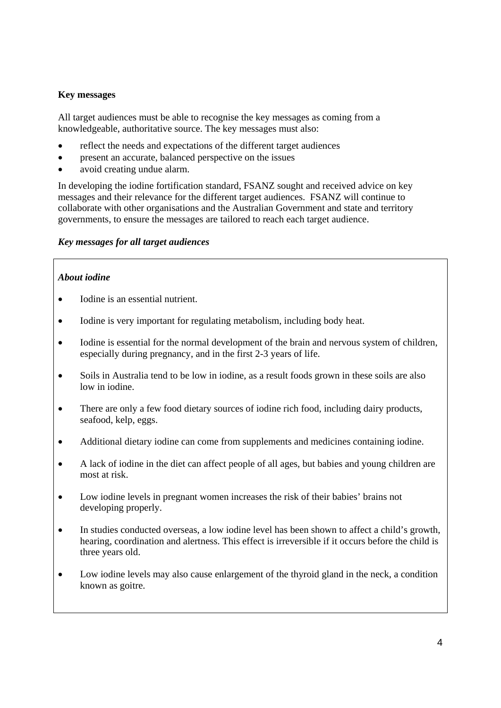## **Key messages**

All target audiences must be able to recognise the key messages as coming from a knowledgeable, authoritative source. The key messages must also:

- reflect the needs and expectations of the different target audiences
- present an accurate, balanced perspective on the issues
- avoid creating undue alarm.

In developing the iodine fortification standard, FSANZ sought and received advice on key messages and their relevance for the different target audiences. FSANZ will continue to collaborate with other organisations and the Australian Government and state and territory governments, to ensure the messages are tailored to reach each target audience.

## *Key messages for all target audiences*

## *About iodine*

- Iodine is an essential nutrient.
- Iodine is very important for regulating metabolism, including body heat.
- Iodine is essential for the normal development of the brain and nervous system of children, especially during pregnancy, and in the first 2-3 years of life.
- Soils in Australia tend to be low in iodine, as a result foods grown in these soils are also low in iodine.
- There are only a few food dietary sources of iodine rich food, including dairy products, seafood, kelp, eggs.
- Additional dietary iodine can come from supplements and medicines containing iodine.
- A lack of iodine in the diet can affect people of all ages, but babies and young children are most at risk.
- Low iodine levels in pregnant women increases the risk of their babies' brains not developing properly.
- In studies conducted overseas, a low iodine level has been shown to affect a child's growth. hearing, coordination and alertness. This effect is irreversible if it occurs before the child is three years old.
- Low iodine levels may also cause enlargement of the thyroid gland in the neck, a condition known as goitre.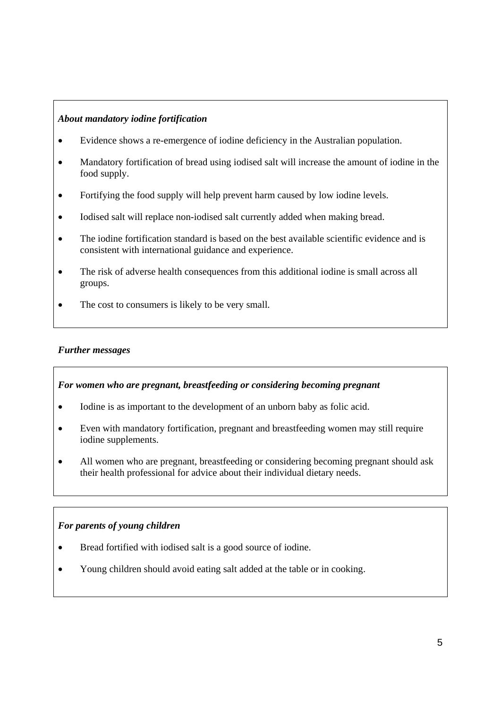## *About mandatory iodine fortification*

- Evidence shows a re-emergence of iodine deficiency in the Australian population.
- Mandatory fortification of bread using iodised salt will increase the amount of iodine in the food supply.
- Fortifying the food supply will help prevent harm caused by low iodine levels.
- Iodised salt will replace non-iodised salt currently added when making bread.
- The iodine fortification standard is based on the best available scientific evidence and is consistent with international guidance and experience.
- The risk of adverse health consequences from this additional iodine is small across all groups.
- The cost to consumers is likely to be very small.

### *Further messages*

#### *For women who are pregnant, breastfeeding or considering becoming pregnant*

- Iodine is as important to the development of an unborn baby as folic acid.
- Even with mandatory fortification, pregnant and breastfeeding women may still require iodine supplements.
- All women who are pregnant, breastfeeding or considering becoming pregnant should ask their health professional for advice about their individual dietary needs.

## *For parents of young children*

- Bread fortified with iodised salt is a good source of iodine.
- Young children should avoid eating salt added at the table or in cooking.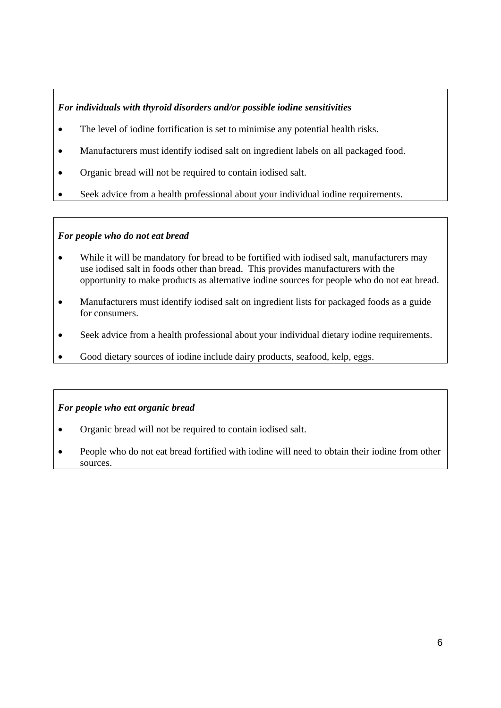## *For individuals with thyroid disorders and/or possible iodine sensitivities*

- The level of iodine fortification is set to minimise any potential health risks.
- Manufacturers must identify iodised salt on ingredient labels on all packaged food.
- Organic bread will not be required to contain iodised salt.
- Seek advice from a health professional about your individual iodine requirements.

## *For people who do not eat bread*

- While it will be mandatory for bread to be fortified with iodised salt, manufacturers may use iodised salt in foods other than bread. This provides manufacturers with the opportunity to make products as alternative iodine sources for people who do not eat bread.
- Manufacturers must identify iodised salt on ingredient lists for packaged foods as a guide for consumers.
- Seek advice from a health professional about your individual dietary iodine requirements.
- Good dietary sources of iodine include dairy products, seafood, kelp, eggs.

## *For people who eat organic bread*

- Organic bread will not be required to contain iodised salt.
- People who do not eat bread fortified with iodine will need to obtain their iodine from other sources.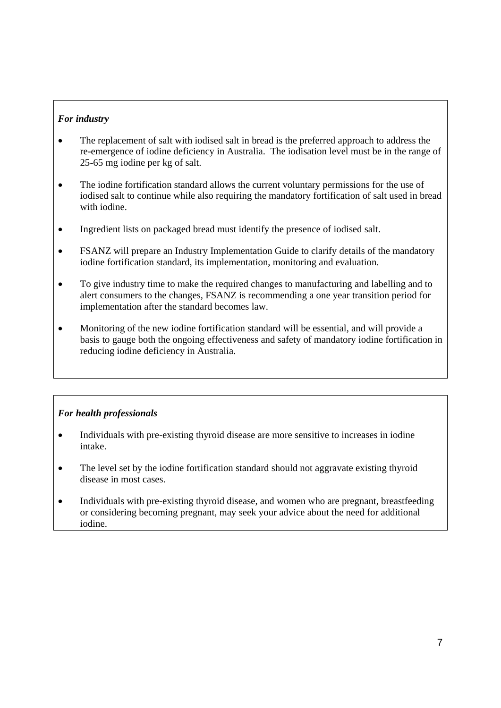## *For industry*

- The replacement of salt with iodised salt in bread is the preferred approach to address the re-emergence of iodine deficiency in Australia. The iodisation level must be in the range of 25-65 mg iodine per kg of salt.
- The iodine fortification standard allows the current voluntary permissions for the use of iodised salt to continue while also requiring the mandatory fortification of salt used in bread with iodine.
- Ingredient lists on packaged bread must identify the presence of iodised salt.
- FSANZ will prepare an Industry Implementation Guide to clarify details of the mandatory iodine fortification standard, its implementation, monitoring and evaluation.
- To give industry time to make the required changes to manufacturing and labelling and to alert consumers to the changes, FSANZ is recommending a one year transition period for implementation after the standard becomes law.
- Monitoring of the new iodine fortification standard will be essential, and will provide a basis to gauge both the ongoing effectiveness and safety of mandatory iodine fortification in reducing iodine deficiency in Australia.

## *For health professionals*

- Individuals with pre-existing thyroid disease are more sensitive to increases in iodine intake.
- The level set by the iodine fortification standard should not aggravate existing thyroid disease in most cases.
- Individuals with pre-existing thyroid disease, and women who are pregnant, breastfeeding or considering becoming pregnant, may seek your advice about the need for additional iodine.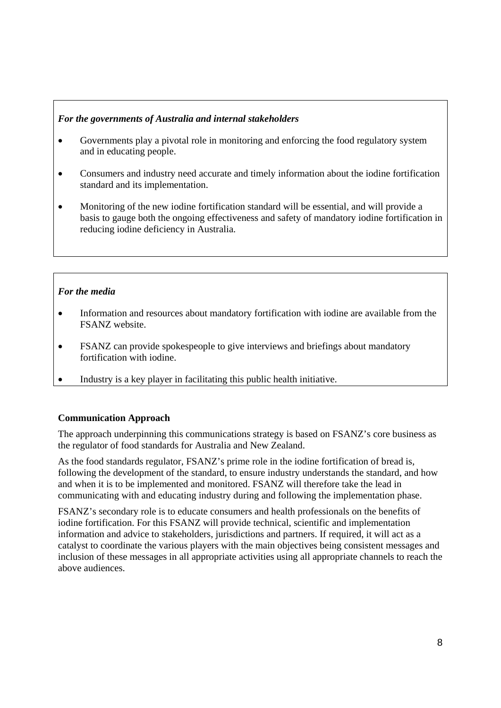## *For the governments of Australia and internal stakeholders*

- Governments play a pivotal role in monitoring and enforcing the food regulatory system and in educating people.
- Consumers and industry need accurate and timely information about the iodine fortification standard and its implementation.
- Monitoring of the new iodine fortification standard will be essential, and will provide a basis to gauge both the ongoing effectiveness and safety of mandatory iodine fortification in reducing iodine deficiency in Australia.

## *For the media*

- Information and resources about mandatory fortification with iodine are available from the FSANZ website.
- FSANZ can provide spokespeople to give interviews and briefings about mandatory fortification with iodine.
- Industry is a key player in facilitating this public health initiative.

#### **Communication Approach**

The approach underpinning this communications strategy is based on FSANZ's core business as the regulator of food standards for Australia and New Zealand.

As the food standards regulator, FSANZ's prime role in the iodine fortification of bread is, following the development of the standard, to ensure industry understands the standard, and how and when it is to be implemented and monitored. FSANZ will therefore take the lead in communicating with and educating industry during and following the implementation phase.

FSANZ's secondary role is to educate consumers and health professionals on the benefits of iodine fortification. For this FSANZ will provide technical, scientific and implementation information and advice to stakeholders, jurisdictions and partners. If required, it will act as a catalyst to coordinate the various players with the main objectives being consistent messages and inclusion of these messages in all appropriate activities using all appropriate channels to reach the above audiences.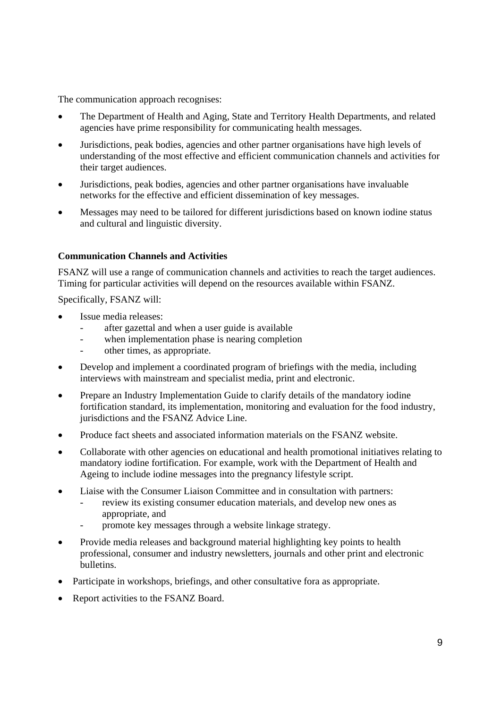The communication approach recognises:

- The Department of Health and Aging, State and Territory Health Departments, and related agencies have prime responsibility for communicating health messages.
- Jurisdictions, peak bodies, agencies and other partner organisations have high levels of understanding of the most effective and efficient communication channels and activities for their target audiences.
- Jurisdictions, peak bodies, agencies and other partner organisations have invaluable networks for the effective and efficient dissemination of key messages.
- Messages may need to be tailored for different jurisdictions based on known iodine status and cultural and linguistic diversity.

## **Communication Channels and Activities**

FSANZ will use a range of communication channels and activities to reach the target audiences. Timing for particular activities will depend on the resources available within FSANZ.

Specifically, FSANZ will:

- Issue media releases:
	- after gazettal and when a user guide is available
	- when implementation phase is nearing completion
	- other times, as appropriate.
- Develop and implement a coordinated program of briefings with the media, including interviews with mainstream and specialist media, print and electronic.
- Prepare an Industry Implementation Guide to clarify details of the mandatory iodine fortification standard, its implementation, monitoring and evaluation for the food industry, jurisdictions and the FSANZ Advice Line.
- Produce fact sheets and associated information materials on the FSANZ website.
- Collaborate with other agencies on educational and health promotional initiatives relating to mandatory iodine fortification. For example, work with the Department of Health and Ageing to include iodine messages into the pregnancy lifestyle script.
- Liaise with the Consumer Liaison Committee and in consultation with partners:
	- review its existing consumer education materials, and develop new ones as appropriate, and
	- promote key messages through a website linkage strategy.
- Provide media releases and background material highlighting key points to health professional, consumer and industry newsletters, journals and other print and electronic bulletins.
- Participate in workshops, briefings, and other consultative fora as appropriate.
- Report activities to the FSANZ Board.